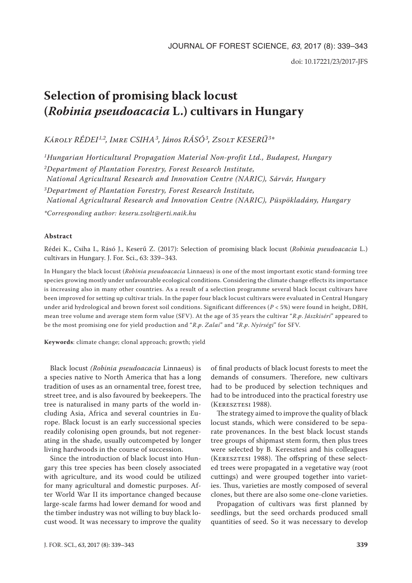# **Selection of promising black locust (***Robinia pseudoacacia* **L.) cultivars in Hungary**

*Károly RÉDEI 1,2, Imre CSIHA3, János RÁSÓ3, Zsolt KESERŰ3\**

*1Hungarian Horticultural Propagation Material Non-profit Ltd., Budapest, Hungary*

*2Department of Plantation Forestry, Forest Research Institute, National Agricultural Research and Innovation Centre (NARIC), Sárvár, Hungary 3Department of Plantation Forestry, Forest Research Institute,* 

*National Agricultural Research and Innovation Centre (NARIC), Püspökladány, Hungary*

*\*Corresponding author: keseru.zsolt@erti.naik.hu*

## **Abstract**

Rédei K., Csiha I., Rásó J., Keserű Z. (2017): Selection of promising black locust (*Robinia pseudoacacia* L.) cultivars in Hungary. J. For. Sci., 63: 339–343.

In Hungary the black locust (*Robinia pseudoacacia* Linnaeus) is one of the most important exotic stand-forming tree species growing mostly under unfavourable ecological conditions. Considering the climate change effects its importance is increasing also in many other countries. As a result of a selection programme several black locust cultivars have been improved for setting up cultivar trials. In the paper four black locust cultivars were evaluated in Central Hungary under arid hydrological and brown forest soil conditions. Significant differences (*P* < 5%) were found in height, DBH, mean tree volume and average stem form value (SFV). At the age of 35 years the cultivar "*R*.*p*. *Jászkiséri*" appeared to be the most promising one for yield production and "*R*.*p*. *Zalai*" and "*R*.*p*. *Nyírségi*" for SFV.

**Keywords**: climate change; clonal approach; growth; yield

Black locust *(Robinia pseudoacacia* Linnaeus) is a species native to North America that has a long tradition of uses as an ornamental tree, forest tree, street tree, and is also favoured by beekeepers. The tree is naturalised in many parts of the world including Asia, Africa and several countries in Europe. Black locust is an early successional species readily colonising open grounds, but not regenerating in the shade, usually outcompeted by longer living hardwoods in the course of succession.

Since the introduction of black locust into Hungary this tree species has been closely associated with agriculture, and its wood could be utilized for many agricultural and domestic purposes. After World War II its importance changed because large-scale farms had lower demand for wood and the timber industry was not willing to buy black locust wood. It was necessary to improve the quality

of final products of black locust forests to meet the demands of consumers. Therefore, new cultivars had to be produced by selection techniques and had to be introduced into the practical forestry use (Keresztesi 1988).

The strategy aimed to improve the quality of black locust stands, which were considered to be separate provenances. In the best black locust stands tree groups of shipmast stem form, then plus trees were selected by B. Keresztesi and his colleagues (Keresztesi 1988). The offspring of these selected trees were propagated in a vegetative way (root cuttings) and were grouped together into varieties. Thus, varieties are mostly composed of several clones, but there are also some one-clone varieties.

Propagation of cultivars was first planned by seedlings, but the seed orchards produced small quantities of seed. So it was necessary to develop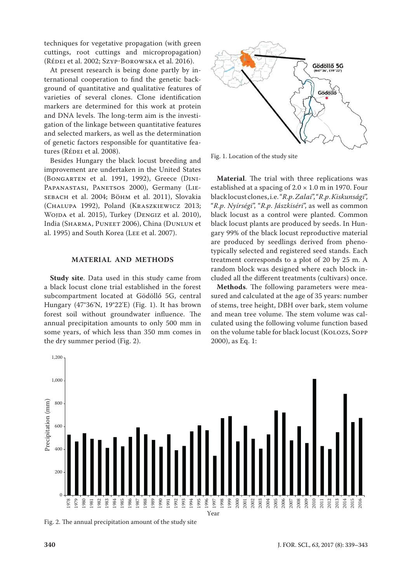techniques for vegetative propagation (with green cuttings, root cuttings and micropropagation) (RÉDEI et al. 2002; SzYP-BOROWSKA et al. 2016).

At present research is being done partly by international cooperation to find the genetic background of quantitative and qualitative features of varieties of several clones. Clone identification markers are determined for this work at protein and DNA levels. The long-term aim is the investigation of the linkage between quantitative features and selected markers, as well as the determination of genetic factors responsible for quantitative features (Répei et al. 2008).

Besides Hungary the black locust breeding and improvement are undertaken in the United States (Bongarten et al. 1991, 1992), Greece (Dini-PAPANASTASI, PANETSOS 2000), Germany (LIEsebach et al. 2004; Böhm et al. 2011), Slovakia (Chalupa 1992), Poland (Kraszkiewicz 2013; WOJDA et al. 2015), Turkey (DENGIZ et al. 2010), India (Sharma, Puneet 2006), China (Dunlun et al. 1995) and South Korea (Lee et al. 2007).

## **MATERIAL AND METHODS**

**Study site**. Data used in this study came from a black locust clone trial established in the forest subcompartment located at Gödöllő 5G, central Hungary (47°36'N, 19°22'E) (Fig. 1). It has brown forest soil without groundwater influence. The annual precipitation amounts to only 500 mm in some years, of which less than 350 mm comes in the dry summer period (Fig. 2).



Fig. 1. Location of the study site

**Material**. The trial with three replications was established at a spacing of  $2.0 \times 1.0$  m in 1970. Four black locust clones, i.e. "*R*.*p*. *Zalai*", "*R*.*p*. *Kiskunsági*", "*R*.*p*. *Nyírségi*", "*R*.*p*. *Jászkiséri*", as well as common black locust as a control were planted. Common black locust plants are produced by seeds. In Hungary 99% of the black locust reproductive material are produced by seedlings derived from phenotypically selected and registered seed stands. Each treatment corresponds to a plot of 20 by 25 m. A random block was designed where each block included all the different treatments (cultivars) once.

**Methods**. The following parameters were measured and calculated at the age of 35 years: number of stems, tree height, DBH over bark, stem volume and mean tree volume. The stem volume was calculated using the following volume function based on the volume table for black locust (Kolozs, Sopp 2000), as Eq. 1:



Fig. 2. The annual precipitation amount of the study site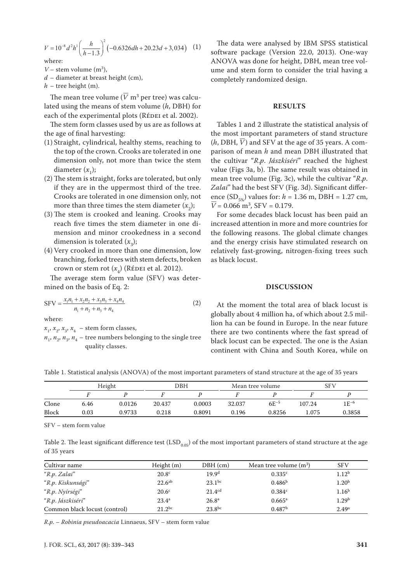$$
V = 10^{-8} d^2 h^1 \left(\frac{h}{h-1.3}\right)^2 \left(-0.6326dh + 20.23d + 3,034\right)
$$
 (1)  
where:

*V* – stem volume  $(m^3)$ ,

*d* – diameter at breast height (cm),

*h* – tree height (m).

The mean tree volume ( $\overline{V}$  m $^3$  per tree) was calculated using the means of stem volume (*h*, DBH) for each of the experimental plots (RÉDEI et al. 2002).

The stem form classes used by us are as follows at the age of final harvesting:

- (1) Straight, cylindrical, healthy stems, reaching to the top of the crown. Crooks are tolerated in one dimension only, not more than twice the stem diameter  $(x_1)$ ;
- (2) The stem is straight, forks are tolerated, but only if they are in the uppermost third of the tree. Crooks are tolerated in one dimension only, not more than three times the stem diameter  $(x_2)$ ;
- (3) The stem is crooked and leaning. Crooks may reach five times the stem diameter in one dimension and minor crookedness in a second dimension is tolerated  $(x_3)$ ;
- (4) Very crooked in more than one dimension, low branching, forked trees with stem defects, broken crown or stem rot  $(x_4)$  (Répei et al. 2012).

The average stem form value (SFV) was determined on the basis of Eq. 2:

$$
SFV = \frac{x_1 n_1 + x_2 n_2 + x_3 n_3 + x_4 n_4}{n_1 + n_2 + n_3 + n_4}
$$
 (2)

where:

 $x_1$ ,  $x_2$ ,  $x_3$ ,  $x_4$  – stem form classes,

 $n_1$ ,  $n_2$ ,  $n_3$ ,  $n_4$  – tree numbers belonging to the single tree quality classes.

The data were analysed by IBM SPSS statistical software package (Version 22.0, 2013). One-way ANOVA was done for height, DBH, mean tree volume and stem form to consider the trial having a completely randomized design.

### **RESULTS**

Tables 1 and 2 illustrate the statistical analysis of the most important parameters of stand structure  $(h, DBH, \overline{V})$  and SFV at the age of 35 years. A comparison of mean *h* and mean DBH illustrated that the cultivar "*R*.*p*. *Jászkiséri*" reached the highest value (Figs 3a, b). The same result was obtained in mean tree volume (Fig. 3c), while the cultivar "*R*.*p*. *Zalai*" had the best SFV (Fig. 3d). Significant difference (SD<sub>5%</sub>) values for:  $h = 1.36$  m, DBH = 1.27 cm,  $\overline{V}$  = 0.066 m<sup>3</sup>, SFV = 0.179.

For some decades black locust has been paid an increased attention in more and more countries for the following reasons. The global climate changes and the energy crisis have stimulated research on relatively fast-growing, nitrogen-fixing trees such as black locust.

## **DISCUSSION**

At the moment the total area of black locust is globally about 4 million ha, of which about 2.5 million ha can be found in Europe. In the near future there are two continents where the fast spread of black locust can be expected. The one is the Asian continent with China and South Korea, while on

Table 1. Statistical analysis (ANOVA) of the most important parameters of stand structure at the age of 35 years

|              | Height |        | DBH    |        | Mean tree volume |           | SFV    |           |
|--------------|--------|--------|--------|--------|------------------|-----------|--------|-----------|
|              |        |        |        |        |                  |           |        |           |
| Clone        | 6.46   | 0.0126 | 20.437 | 0.0003 | 32.037           | $6E^{-5}$ | 107.24 | $1E^{-6}$ |
| <b>Block</b> | 0.03   | 0.9733 | 0.218  | 0.8091 | 0.196            | 0.8256    | L.075  | 0.3858    |

SFV – stem form value

Table 2. The least significant difference test (LSD<sub>0.05</sub>) of the most important parameters of stand structure at the age of 35 years

| Cultivar name                 | Height $(m)$      | $DBH$ (cm)         | Mean tree volume $(m^3)$ | <b>SFV</b>        |
|-------------------------------|-------------------|--------------------|--------------------------|-------------------|
| R.p. Zalai"                   | 20.8 <sup>c</sup> | 19.9 <sup>d</sup>  | 0.335c                   | 1.12 <sup>b</sup> |
| "R.p. Kiskunsági"             | $22.6^{ab}$       | $23.1^{bc}$        | 0.486 <sup>b</sup>       | 1.20 <sup>b</sup> |
| "R.p. Nyírségi"               | 20.6 <sup>c</sup> | 21.4 <sup>cd</sup> | 0.384c                   | 1.16 <sup>b</sup> |
| "R.p. Jászkiséri"             | $23.4^{\circ}$    | 26.8 <sup>a</sup>  | $0.665^{\rm a}$          | 1.29 <sup>b</sup> |
| Common black locust (control) | $21.2^{bc}$       | 23.8 <sup>bc</sup> | 0.487 <sup>b</sup>       | 2.49 <sup>a</sup> |

*R*.*p*. – *Robinia pseudoacacia* Linnaeus, SFV – stem form value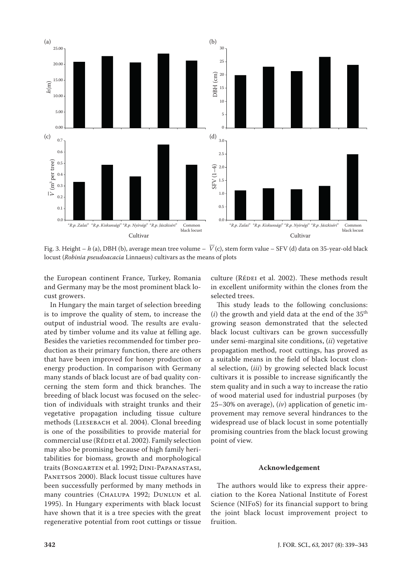

Fig. 3. Height – h (a), DBH (b), average mean tree volume –  $\overline{V}(c)$ , stem form value – SFV (d) data on 35-year-old black locust (*Robinia pseudoacacia* Linnaeus) cultivars as the means of plots

the European continent France, Turkey, Romania and Germany may be the most prominent black locust growers.

In Hungary the main target of selection breeding is to improve the quality of stem, to increase the output of industrial wood. The results are evaluated by timber volume and its value at felling age. Besides the varieties recommended for timber production as their primary function, there are others that have been improved for honey production or energy production. In comparison with Germany many stands of black locust are of bad quality concerning the stem form and thick branches. The breeding of black locust was focused on the selection of individuals with straight trunks and their vegetative propagation including tissue culture methods (LIESEBACH et al. 2004). Clonal breeding is one of the possibilities to provide material for commercial use (RÉDEI et al. 2002). Family selection may also be promising because of high family heritabilities for biomass, growth and morphological traits (Bongarten et al. 1992; Dini-Papanastasi, PANETSOS 2000). Black locust tissue cultures have been successfully performed by many methods in many countries (Chalupa 1992; Dunlun et al. 1995). In Hungary experiments with black locust have shown that it is a tree species with the great regenerative potential from root cuttings or tissue culture (RÉDEI et al. 2002). These methods result in excellent uniformity within the clones from the selected trees.

This study leads to the following conclusions:  $(i)$  the growth and yield data at the end of the  $35<sup>th</sup>$ growing season demonstrated that the selected black locust cultivars can be grown successfully under semi-marginal site conditions, (*ii*) vegetative propagation method, root cuttings, has proved as a suitable means in the field of black locust clonal selection, (*iii*) by growing selected black locust cultivars it is possible to increase significantly the stem quality and in such a way to increase the ratio of wood material used for industrial purposes (by 25–30% on average), (*iv*) application of genetic improvement may remove several hindrances to the widespread use of black locust in some potentially promising countries from the black locust growing point of view.

#### **Acknowledgement**

The authors would like to express their appreciation to the Korea National Institute of Forest Science (NIFoS) for its financial support to bring the joint black locust improvement project to fruition.